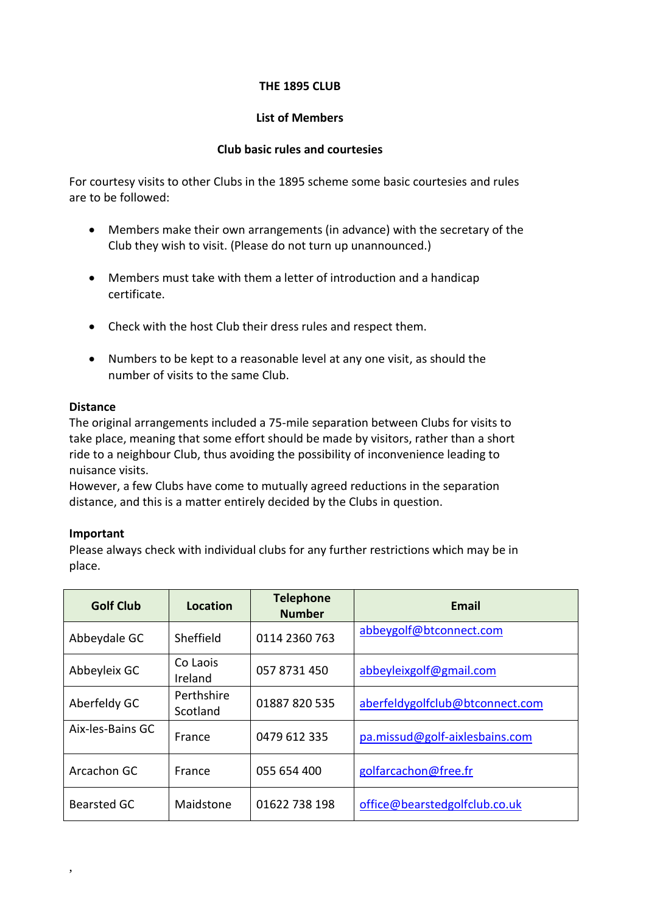# **THE 1895 CLUB**

## **List of Members**

## **Club basic rules and courtesies**

For courtesy visits to other Clubs in the 1895 scheme some basic courtesies and rules are to be followed:

- Members make their own arrangements (in advance) with the secretary of the Club they wish to visit. (Please do not turn up unannounced.)
- Members must take with them a letter of introduction and a handicap certificate.
- Check with the host Club their dress rules and respect them.
- Numbers to be kept to a reasonable level at any one visit, as should the number of visits to the same Club.

### **Distance**

The original arrangements included a 75-mile separation between Clubs for visits to take place, meaning that some effort should be made by visitors, rather than a short ride to a neighbour Club, thus avoiding the possibility of inconvenience leading to nuisance visits.

However, a few Clubs have come to mutually agreed reductions in the separation distance, and this is a matter entirely decided by the Clubs in question.

### **Important**

,

Please always check with individual clubs for any further restrictions which may be in place.

| <b>Golf Club</b>   | Location               | <b>Telephone</b><br><b>Number</b> | <b>Email</b>                    |
|--------------------|------------------------|-----------------------------------|---------------------------------|
| Abbeydale GC       | Sheffield              | 0114 2360 763                     | abbeygolf@btconnect.com         |
| Abbeyleix GC       | Co Laois<br>Ireland    | 057 8731 450                      | abbeyleixgolf@gmail.com         |
| Aberfeldy GC       | Perthshire<br>Scotland | 01887 820 535                     | aberfeldygolfclub@btconnect.com |
| Aix-les-Bains GC   | France                 | 0479 612 335                      | pa.missud@golf-aixlesbains.com  |
| Arcachon GC        | France                 | 055 654 400                       | golfarcachon@free.fr            |
| <b>Bearsted GC</b> | Maidstone              | 01622 738 198                     | office@bearstedgolfclub.co.uk   |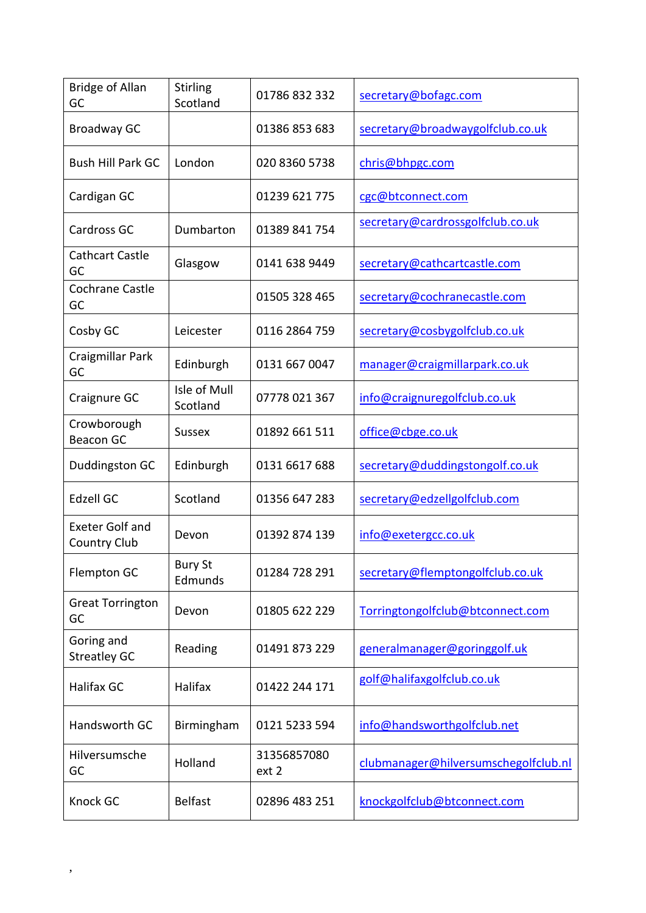| <b>Bridge of Allan</b><br>GC                  | <b>Stirling</b><br>Scotland | 01786 832 332        | secretary@bofagc.com                 |
|-----------------------------------------------|-----------------------------|----------------------|--------------------------------------|
| <b>Broadway GC</b>                            |                             | 01386 853 683        | secretary@broadwaygolfclub.co.uk     |
| <b>Bush Hill Park GC</b>                      | London                      | 020 8360 5738        | chris@bhpgc.com                      |
| Cardigan GC                                   |                             | 01239 621 775        | cgc@btconnect.com                    |
| Cardross GC                                   | Dumbarton                   | 01389 841 754        | secretary@cardrossgolfclub.co.uk     |
| <b>Cathcart Castle</b><br>GC                  | Glasgow                     | 0141 638 9449        | secretary@cathcartcastle.com         |
| Cochrane Castle<br>GC                         |                             | 01505 328 465        | secretary@cochranecastle.com         |
| Cosby GC                                      | Leicester                   | 0116 2864 759        | secretary@cosbygolfclub.co.uk        |
| Craigmillar Park<br>GC                        | Edinburgh                   | 0131 667 0047        | manager@craigmillarpark.co.uk        |
| Craignure GC                                  | Isle of Mull<br>Scotland    | 07778 021 367        | info@craignuregolfclub.co.uk         |
| Crowborough<br><b>Beacon GC</b>               | <b>Sussex</b>               | 01892 661 511        | office@cbge.co.uk                    |
| Duddingston GC                                | Edinburgh                   | 0131 6617 688        | secretary@duddingstongolf.co.uk      |
| <b>Edzell GC</b>                              | Scotland                    | 01356 647 283        | secretary@edzellgolfclub.com         |
| <b>Exeter Golf and</b><br><b>Country Club</b> | Devon                       | 01392 874 139        | info@exetergcc.co.uk                 |
| Flempton GC                                   | <b>Bury St</b><br>Edmunds   | 01284 728 291        | secretary@flemptongolfclub.co.uk     |
| <b>Great Torrington</b><br>GC                 | Devon                       | 01805 622 229        | Torringtongolfclub@btconnect.com     |
| Goring and<br><b>Streatley GC</b>             | Reading                     | 01491 873 229        | generalmanager@goringgolf.uk         |
| <b>Halifax GC</b>                             | Halifax                     | 01422 244 171        | golf@halifaxgolfclub.co.uk           |
| Handsworth GC                                 | Birmingham                  | 0121 5233 594        | info@handsworthgolfclub.net          |
| Hilversumsche<br>GC                           | Holland                     | 31356857080<br>ext 2 | clubmanager@hilversumschegolfclub.nl |
| Knock GC                                      | <b>Belfast</b>              | 02896 483 251        | knockgolfclub@btconnect.com          |

,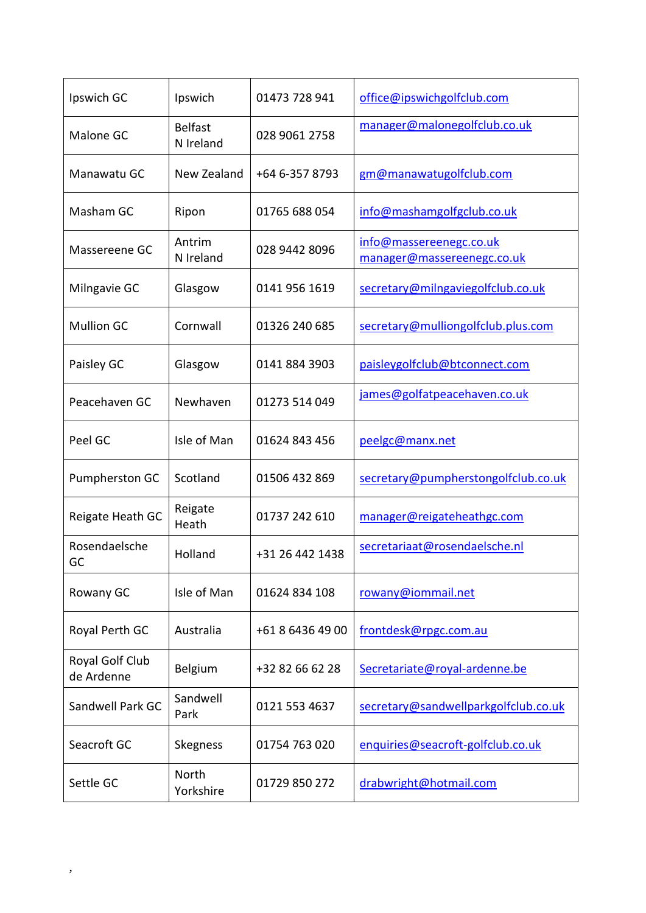| Ipswich GC                    | Ipswich                     | 01473 728 941    | office@ipswichgolfclub.com                            |
|-------------------------------|-----------------------------|------------------|-------------------------------------------------------|
| Malone GC                     | <b>Belfast</b><br>N Ireland | 028 9061 2758    | manager@malonegolfclub.co.uk                          |
| Manawatu GC                   | New Zealand                 | +64 6-357 8793   | gm@manawatugolfclub.com                               |
| Masham GC                     | Ripon                       | 01765 688 054    | info@mashamgolfgclub.co.uk                            |
| Massereene GC                 | Antrim<br>N Ireland         | 028 9442 8096    | info@massereenegc.co.uk<br>manager@massereenegc.co.uk |
| Milngavie GC                  | Glasgow                     | 0141 956 1619    | secretary@milngaviegolfclub.co.uk                     |
| <b>Mullion GC</b>             | Cornwall                    | 01326 240 685    | secretary@mulliongolfclub.plus.com                    |
| Paisley GC                    | Glasgow                     | 0141 884 3903    | paisleygolfclub@btconnect.com                         |
| Peacehaven GC                 | Newhaven                    | 01273 514 049    | james@golfatpeacehaven.co.uk                          |
| Peel GC                       | Isle of Man                 | 01624 843 456    | peelgc@manx.net                                       |
| Pumpherston GC                | Scotland                    | 01506 432 869    | secretary@pumpherstongolfclub.co.uk                   |
| Reigate Heath GC              | Reigate<br>Heath            | 01737 242 610    | manager@reigateheathgc.com                            |
| Rosendaelsche<br>GC           | Holland                     | +31 26 442 1438  | secretariaat@rosendaelsche.nl                         |
| Rowany GC                     | Isle of Man                 | 01624 834 108    | rowany@iommail.net                                    |
| Royal Perth GC                | Australia                   | +61 8 6436 49 00 | frontdesk@rpgc.com.au                                 |
| Royal Golf Club<br>de Ardenne | Belgium                     | +32 82 66 62 28  | Secretariate@royal-ardenne.be                         |
| Sandwell Park GC              | Sandwell<br>Park            | 0121 553 4637    | secretary@sandwellparkgolfclub.co.uk                  |
| Seacroft GC                   | Skegness                    | 01754 763 020    | enquiries@seacroft-golfclub.co.uk                     |
| Settle GC                     | North<br>Yorkshire          | 01729 850 272    | drabwright@hotmail.com                                |

,